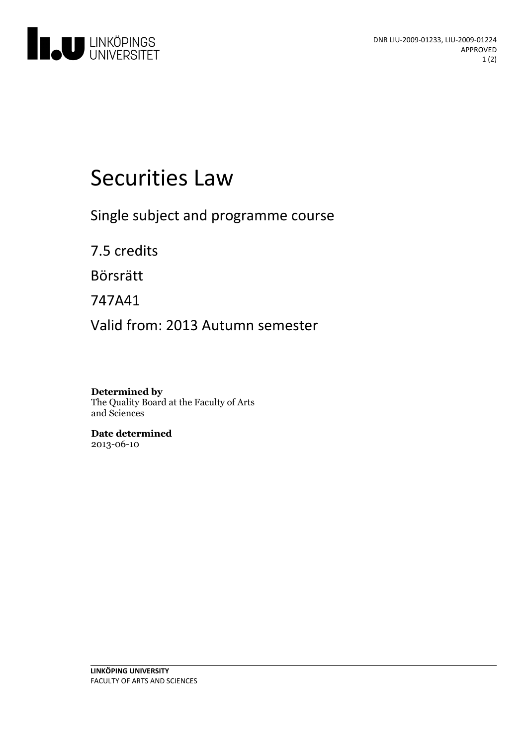

# Securities Law

Single subject and programme course

7.5 credits

Börsrätt

747A41

Valid from: 2013 Autumn semester

**Determined by** The Quality Board at the Faculty of Arts and Sciences

**Date determined** 2013-06-10